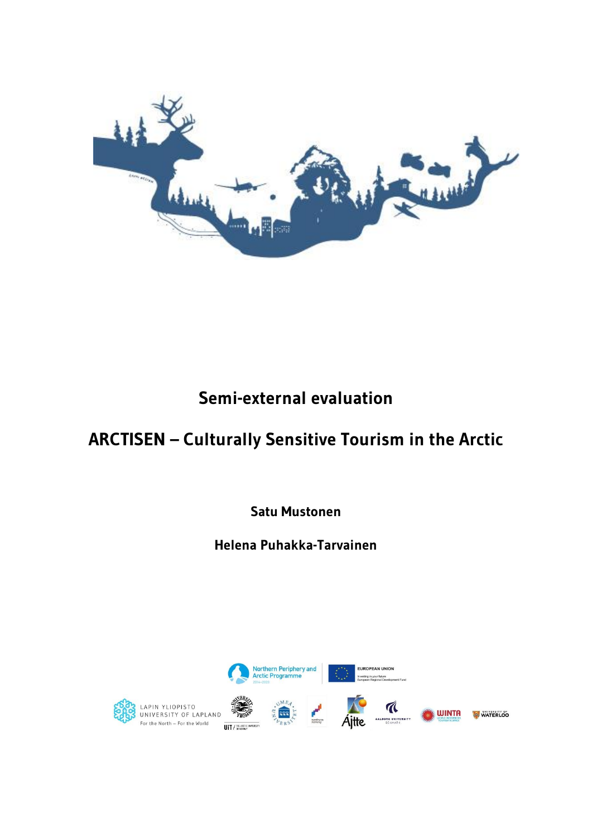

# **Semi-external evaluation**

# **ARCTISEN – Culturally Sensitive Tourism in the Arctic**

**Satu Mustonen**

**Helena Puhakka-Tarvainen**

Northern Periphery and<br>Arctic Programme



LAPIN YLIOPISTO<br>UNIVERSITY OF LAPLAND For the North - For the World UIT / THE ARCTIC UNIVERSITY



FUROPEAN UNION vesting in your future

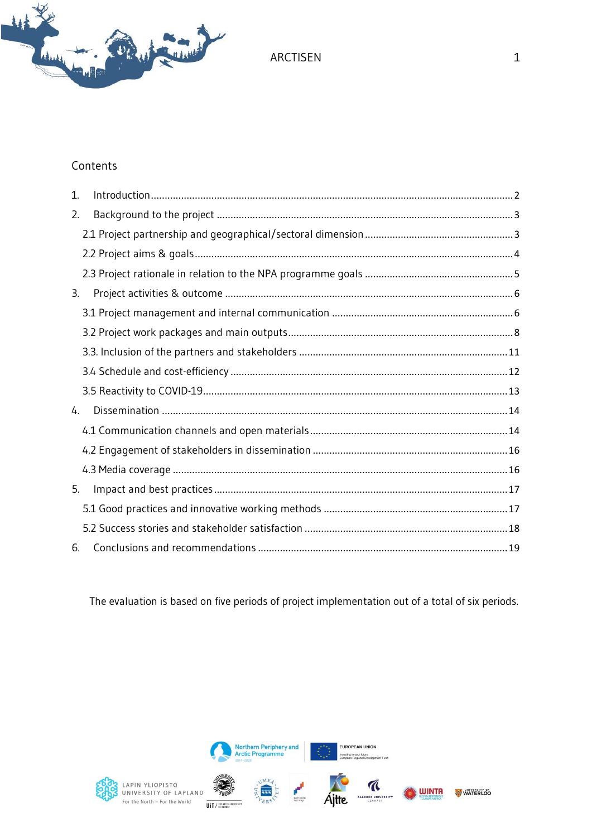

#### Contents

| 1. |  |
|----|--|
| 2. |  |
|    |  |
|    |  |
|    |  |
| 3. |  |
|    |  |
|    |  |
|    |  |
|    |  |
|    |  |
| 4. |  |
|    |  |
|    |  |
|    |  |
| 5. |  |
|    |  |
|    |  |
| 6. |  |

The evaluation is based on five periods of project implementation out of a total of six periods.



LAPIN YLIOPISTO<br>UNIVERSITY OF LAPLAND<br>For the North – For the World  $\sum_{T \in \mathcal{D}}$ UIT / THE ARCTIC O



Northern Periphery and<br>Arctic Programme



EUROPEAN UNION in your future

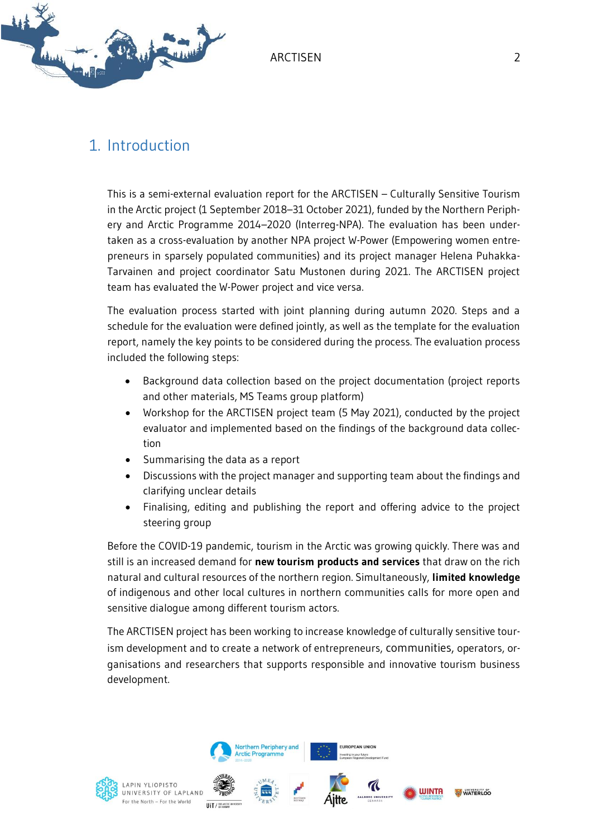

## <span id="page-2-0"></span>1. Introduction

This is a semi-external evaluation report for the ARCTISEN – Culturally Sensitive Tourism in the Arctic project (1 September 2018–31 October 2021), funded by the Northern Periphery and Arctic Programme 2014–2020 (Interreg-NPA). The evaluation has been undertaken as a cross-evaluation by another NPA project W-Power (Empowering women entrepreneurs in sparsely populated communities) and its project manager Helena Puhakka-Tarvainen and project coordinator Satu Mustonen during 2021. The ARCTISEN project team has evaluated the W-Power project and vice versa.

The evaluation process started with joint planning during autumn 2020. Steps and a schedule for the evaluation were defined jointly, as well as the template for the evaluation report, namely the key points to be considered during the process. The evaluation process included the following steps:

- Background data collection based on the project documentation (project reports and other materials, MS Teams group platform)
- Workshop for the ARCTISEN project team (5 May 2021), conducted by the project evaluator and implemented based on the findings of the background data collection
- Summarising the data as a report
- Discussions with the project manager and supporting team about the findings and clarifying unclear details
- Finalising, editing and publishing the report and offering advice to the project steering group

Before the COVID-19 pandemic, tourism in the Arctic was growing quickly. There was and still is an increased demand for **new tourism products and services** that draw on the rich natural and cultural resources of the northern region. Simultaneously, **limited knowledge** of indigenous and other local cultures in northern communities calls for more open and sensitive dialogue among different tourism actors.

The ARCTISEN project has been working to increase knowledge of culturally sensitive tourism development and to create a network of entrepreneurs, communities, operators, organisations and researchers that supports responsible and innovative tourism business development.

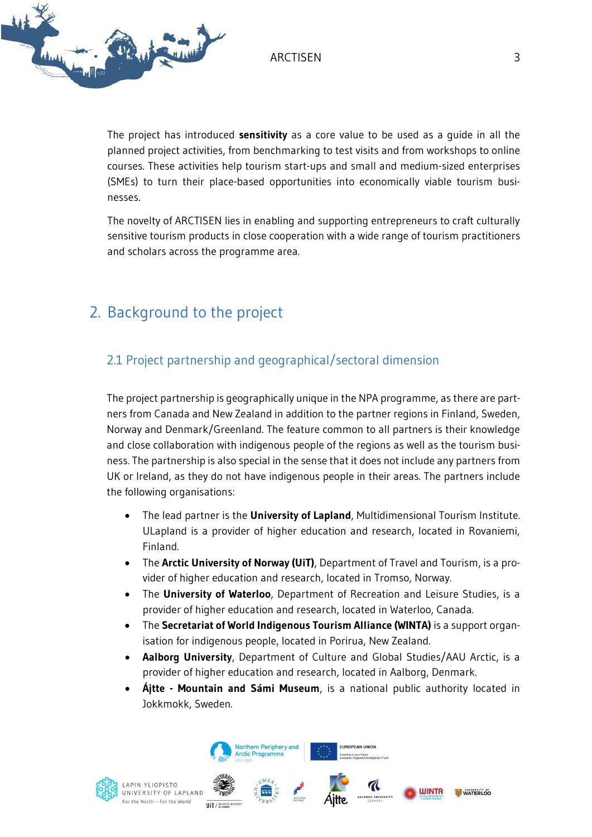

The project has introduced **sensitivity** as a core value to be used as a guide in all the planned project activities, from benchmarking to test visits and from workshops to online courses. These activities help tourism start-ups and small and medium-sized enterprises (SMEs) to turn their place-based opportunities into economically viable tourism businesses.

The novelty of ARCTISEN lies in enabling and supporting entrepreneurs to craft culturally sensitive tourism products in close cooperation with a wide range of tourism practitioners and scholars across the programme area.

## <span id="page-3-0"></span>2. Background to the project

## <span id="page-3-1"></span>2.1 Project partnership and geographical/sectoral dimension

The project partnership is geographically unique in the NPA programme, as there are partners from Canada and New Zealand in addition to the partner regions in Finland, Sweden, Norway and Denmark/Greenland. The feature common to all partners is their knowledge and close collaboration with indigenous people of the regions as well as the tourism business. The partnership is also special in the sense that it does not include any partners from UK or Ireland, as they do not have indigenous people in their areas. The partners include the following organisations:

- The lead partner is the **University of Lapland**, Multidimensional Tourism Institute. ULapland is a provider of higher education and research, located in Rovaniemi, Finland.
- The **Arctic University of Norway (UiT)**, Department of Travel and Tourism, is a provider of higher education and research, located in Tromso, Norway.
- The **University of Waterloo**, Department of Recreation and Leisure Studies, is a provider of higher education and research, located in Waterloo, Canada.
- The **Secretariat of World Indigenous Tourism Alliance (WINTA)** is a support organisation for indigenous people, located in Porirua, New Zealand.
- **Aalborg University**, Department of Culture and Global Studies/AAU Arctic, is a provider of higher education and research, located in Aalborg, Denmark.
- **Ájtte - Mountain and Sámi Museum**, is a national public authority located in Jokkmokk, Sweden.





Northern Periphery and **rctic Programme** 



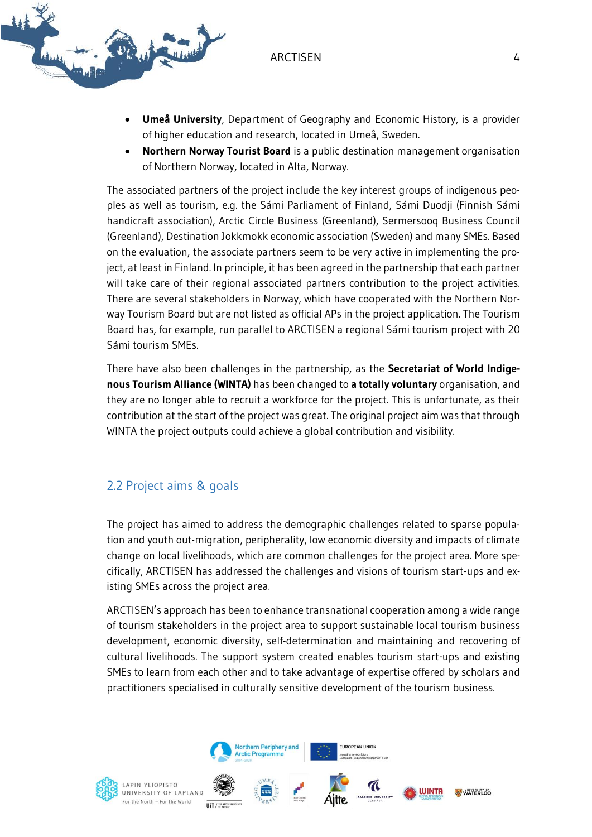



- **Umeå University**, Department of Geography and Economic History, is a provider of higher education and research, located in Umeå, Sweden.
- **Northern Norway Tourist Board** is a public destination management organisation of Northern Norway, located in Alta, Norway.

The associated partners of the project include the key interest groups of indigenous peoples as well as tourism, e.g. the Sámi Parliament of Finland, Sámi Duodji (Finnish Sámi handicraft association), Arctic Circle Business (Greenland), Sermersooq Business Council (Greenland), Destination Jokkmokk economic association (Sweden) and many SMEs. Based on the evaluation, the associate partners seem to be very active in implementing the project, at least in Finland. In principle, it has been agreed in the partnership that each partner will take care of their regional associated partners contribution to the project activities. There are several stakeholders in Norway, which have cooperated with the Northern Norway Tourism Board but are not listed as official APs in the project application. The Tourism Board has, for example, run parallel to ARCTISEN a regional Sámi tourism project with 20 Sámi tourism SMEs.

There have also been challenges in the partnership, as the **Secretariat of World Indigenous Tourism Alliance (WINTA)** has been changed to **a totally voluntary** organisation, and they are no longer able to recruit a workforce for the project. This is unfortunate, as their contribution at the start of the project was great. The original project aim was that through WINTA the project outputs could achieve a global contribution and visibility.

### <span id="page-4-0"></span>2.2 Project aims & goals

The project has aimed to address the demographic challenges related to sparse population and youth out-migration, peripherality, low economic diversity and impacts of climate change on local livelihoods, which are common challenges for the project area. More specifically, ARCTISEN has addressed the challenges and visions of tourism start-ups and existing SMEs across the project area.

ARCTISEN's approach has been to enhance transnational cooperation among a wide range of tourism stakeholders in the project area to support sustainable local tourism business development, economic diversity, self-determination and maintaining and recovering of cultural livelihoods. The support system created enables tourism start-ups and existing SMEs to learn from each other and to take advantage of expertise offered by scholars and practitioners specialised in culturally sensitive development of the tourism business.

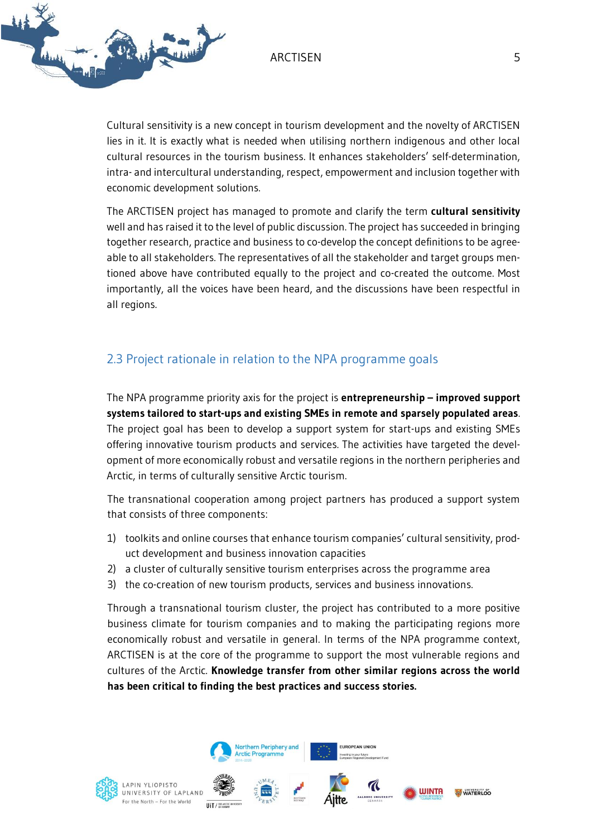

Cultural sensitivity is a new concept in tourism development and the novelty of ARCTISEN lies in it. It is exactly what is needed when utilising northern indigenous and other local cultural resources in the tourism business. It enhances stakeholders' self-determination, intra- and intercultural understanding, respect, empowerment and inclusion together with economic development solutions.

The ARCTISEN project has managed to promote and clarify the term **cultural sensitivity** well and has raised it to the level of public discussion. The project has succeeded in bringing together research, practice and business to co-develop the concept definitions to be agreeable to all stakeholders. The representatives of all the stakeholder and target groups mentioned above have contributed equally to the project and co-created the outcome. Most importantly, all the voices have been heard, and the discussions have been respectful in all regions.

## <span id="page-5-0"></span>2.3 Project rationale in relation to the NPA programme goals

The NPA programme priority axis for the project is **entrepreneurship – improved support systems tailored to start-ups and existing SMEs in remote and sparsely populated areas**. The project goal has been to develop a support system for start-ups and existing SMEs offering innovative tourism products and services. The activities have targeted the development of more economically robust and versatile regions in the northern peripheries and Arctic, in terms of culturally sensitive Arctic tourism.

The transnational cooperation among project partners has produced a support system that consists of three components:

- 1) toolkits and online courses that enhance tourism companies' cultural sensitivity, product development and business innovation capacities
- 2) a cluster of culturally sensitive tourism enterprises across the programme area
- 3) the co-creation of new tourism products, services and business innovations.

Through a transnational tourism cluster, the project has contributed to a more positive business climate for tourism companies and to making the participating regions more economically robust and versatile in general. In terms of the NPA programme context, ARCTISEN is at the core of the programme to support the most vulnerable regions and cultures of the Arctic. **Knowledge transfer from other similar regions across the world has been critical to finding the best practices and success stories.**

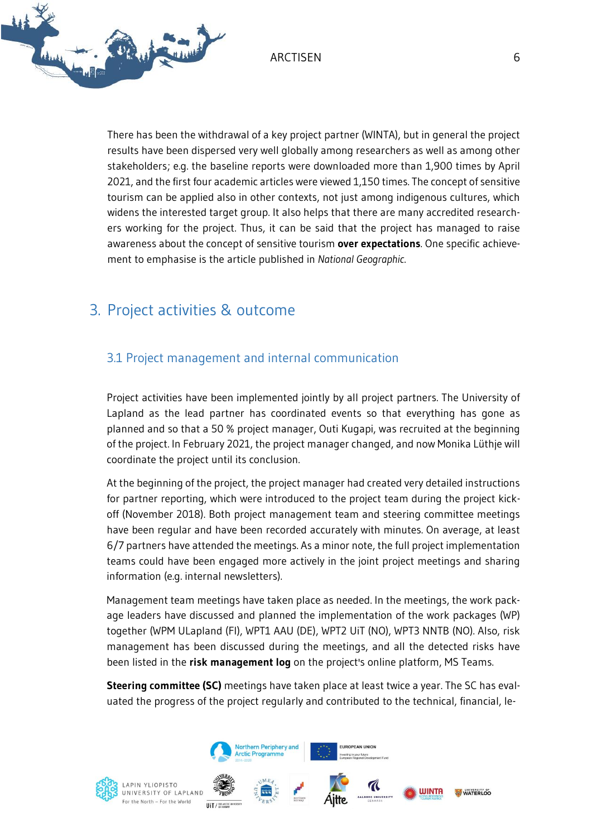

There has been the withdrawal of a key project partner (WINTA), but in general the project results have been dispersed very well globally among researchers as well as among other stakeholders; e.g. the baseline reports were downloaded more than 1,900 times by April 2021, and the first four academic articles were viewed 1,150 times. The concept of sensitive tourism can be applied also in other contexts, not just among indigenous cultures, which widens the interested target group. It also helps that there are many accredited researchers working for the project. Thus, it can be said that the project has managed to raise awareness about the concept of sensitive tourism **over expectations**. One specific achievement to emphasise is the article published in *National Geographic*.

## <span id="page-6-0"></span>3. Project activities & outcome

## <span id="page-6-1"></span>3.1 Project management and internal communication

Project activities have been implemented jointly by all project partners. The University of Lapland as the lead partner has coordinated events so that everything has gone as planned and so that a 50 % project manager, Outi Kugapi, was recruited at the beginning of the project. In February 2021, the project manager changed, and now Monika Lüthje will coordinate the project until its conclusion.

At the beginning of the project, the project manager had created very detailed instructions for partner reporting, which were introduced to the project team during the project kickoff (November 2018). Both project management team and steering committee meetings have been regular and have been recorded accurately with minutes. On average, at least 6/7 partners have attended the meetings. As a minor note, the full project implementation teams could have been engaged more actively in the joint project meetings and sharing information (e.g. internal newsletters).

Management team meetings have taken place as needed. In the meetings, the work package leaders have discussed and planned the implementation of the work packages (WP) together (WPM ULapland (FI), WPT1 AAU (DE), WPT2 UiT (NO), WPT3 NNTB (NO). Also, risk management has been discussed during the meetings, and all the detected risks have been listed in the **risk management log** on the project's online platform, MS Teams.

**Steering committee (SC)** meetings have taken place at least twice a year. The SC has evaluated the progress of the project regularly and contributed to the technical, financial, le-

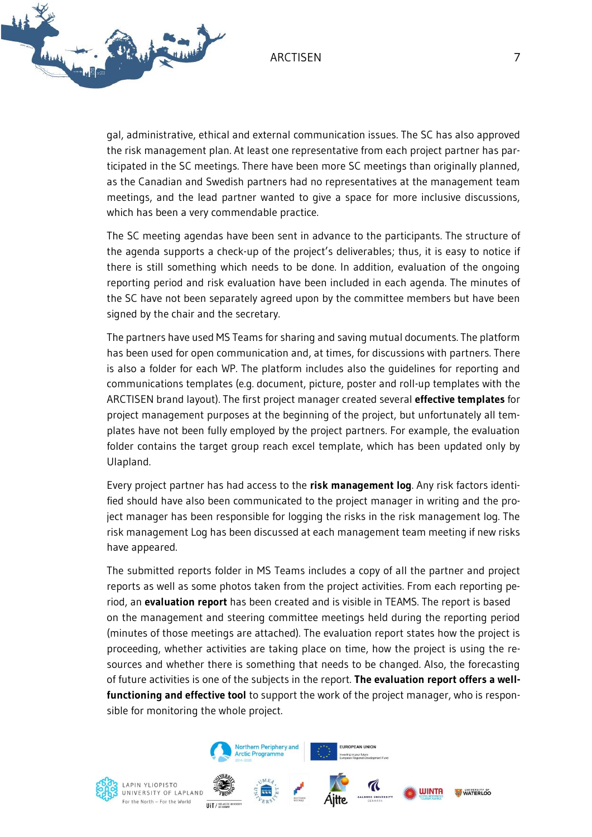

gal, administrative, ethical and external communication issues. The SC has also approved the risk management plan. At least one representative from each project partner has participated in the SC meetings. There have been more SC meetings than originally planned, as the Canadian and Swedish partners had no representatives at the management team meetings, and the lead partner wanted to give a space for more inclusive discussions, which has been a very commendable practice.

The SC meeting agendas have been sent in advance to the participants. The structure of the agenda supports a check-up of the project's deliverables; thus, it is easy to notice if there is still something which needs to be done. In addition, evaluation of the ongoing reporting period and risk evaluation have been included in each agenda. The minutes of the SC have not been separately agreed upon by the committee members but have been signed by the chair and the secretary.

The partners have used MS Teams for sharing and saving mutual documents. The platform has been used for open communication and, at times, for discussions with partners. There is also a folder for each WP. The platform includes also the guidelines for reporting and communications templates (e.g. document, picture, poster and roll-up templates with the ARCTISEN brand layout). The first project manager created several **effective templates** for project management purposes at the beginning of the project, but unfortunately all templates have not been fully employed by the project partners. For example, the evaluation folder contains the target group reach excel template, which has been updated only by Ulapland.

Every project partner has had access to the **risk management log**. Any risk factors identified should have also been communicated to the project manager in writing and the project manager has been responsible for logging the risks in the risk management log. The risk management Log has been discussed at each management team meeting if new risks have appeared.

The submitted reports folder in MS Teams includes a copy of all the partner and project reports as well as some photos taken from the project activities. From each reporting period, an **evaluation report** has been created and is visible in TEAMS. The report is based on the management and steering committee meetings held during the reporting period (minutes of those meetings are attached). The evaluation report states how the project is proceeding, whether activities are taking place on time, how the project is using the resources and whether there is something that needs to be changed. Also, the forecasting of future activities is one of the subjects in the report. **The evaluation report offers a wellfunctioning and effective tool** to support the work of the project manager, who is responsible for monitoring the whole project.



LAPIN YLIOPISTO UNIVERSITY OF LAPLAND For the North - For the World **ILIT / WEARCH** 



Northern Periphery and **Arctic Programme** 





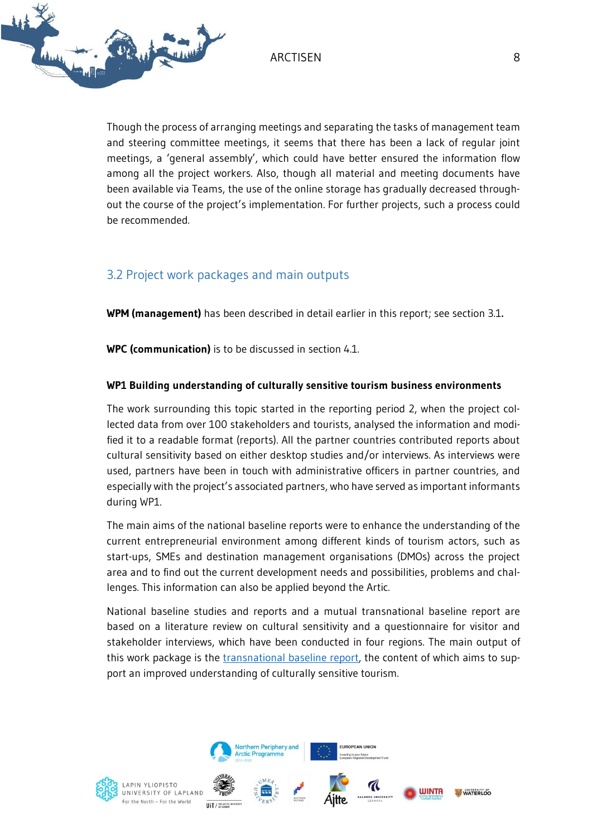

Though the process of arranging meetings and separating the tasks of management team and steering committee meetings, it seems that there has been a lack of regular joint meetings, a 'general assembly', which could have better ensured the information flow among all the project workers. Also, though all material and meeting documents have been available via Teams, the use of the online storage has gradually decreased throughout the course of the project's implementation. For further projects, such a process could be recommended.

## <span id="page-8-0"></span>3.2 Project work packages and main outputs

**WPM (management)** has been described in detail earlier in this report; see section 3.1**.**

**WPC (communication)** is to be discussed in section 4.1.

#### **WP1 Building understanding of culturally sensitive tourism business environments**

The work surrounding this topic started in the reporting period 2, when the project collected data from over 100 stakeholders and tourists, analysed the information and modified it to a readable format (reports). All the partner countries contributed reports about cultural sensitivity based on either desktop studies and/or interviews. As interviews were used, partners have been in touch with administrative officers in partner countries, and especially with the project's associated partners, who have served as important informants during WP1.

The main aims of the national baseline reports were to enhance the understanding of the current entrepreneurial environment among different kinds of tourism actors, such as start-ups, SMEs and destination management organisations (DMOs) across the project area and to find out the current development needs and possibilities, problems and challenges. This information can also be applied beyond the Artic.

National baseline studies and reports and a mutual transnational baseline report are based on a literature review on cultural sensitivity and a questionnaire for visitor and stakeholder interviews, which have been conducted in four regions. The main output of this work package is the [transnational baseline report,](http://urn.fi/URN:ISBN:978-952-6620-39-8) the content of which aims to support an improved understanding of culturally sensitive tourism.

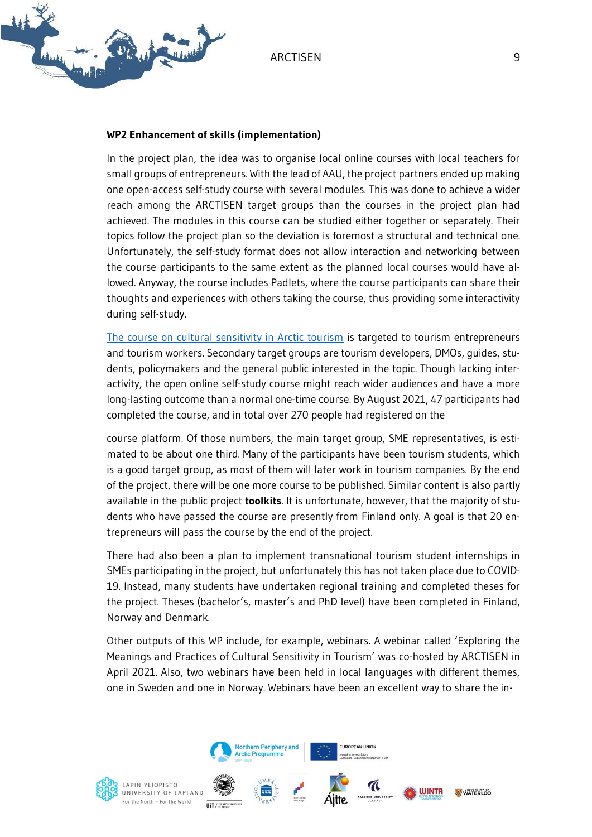

#### **WP2 Enhancement of skills (implementation)**

In the project plan, the idea was to organise local online courses with local teachers for small groups of entrepreneurs. With the lead of AAU, the project partners ended up making one open-access self-study course with several modules. This was done to achieve a wider reach among the ARCTISEN target groups than the courses in the project plan had achieved. The modules in this course can be studied either together or separately. Their topics follow the project plan so the deviation is foremost a structural and technical one. Unfortunately, the self-study format does not allow interaction and networking between the course participants to the same extent as the planned local courses would have allowed. Anyway, the course includes Padlets, where the course participants can share their thoughts and experiences with others taking the course, thus providing some interactivity during self-study.

[The course on cultural sensitivity in Arctic tourism](https://blogi.eoppimispalvelut.fi/culturaltourismcourses/) is targeted to tourism entrepreneurs and tourism workers. Secondary target groups are tourism developers, DMOs, guides, students, policymakers and the general public interested in the topic. Though lacking interactivity, the open online self-study course might reach wider audiences and have a more long-lasting outcome than a normal one-time course. By August 2021, 47 participants had completed the course, and in total over 270 people had registered on the

course platform. Of those numbers, the main target group, SME representatives, is estimated to be about one third. Many of the participants have been tourism students, which is a good target group, as most of them will later work in tourism companies. By the end of the project, there will be one more course to be published. Similar content is also partly available in the public project **toolkits**. It is unfortunate, however, that the majority of students who have passed the course are presently from Finland only. A goal is that 20 entrepreneurs will pass the course by the end of the project.

There had also been a plan to implement transnational tourism student internships in SMEs participating in the project, but unfortunately this has not taken place due to COVID-19. Instead, many students have undertaken regional training and completed theses for the project. Theses (bachelor's, master's and PhD level) have been completed in Finland, Norway and Denmark.

Other outputs of this WP include, for example, webinars. A webinar called 'Exploring the Meanings and Practices of Cultural Sensitivity in Tourism' was co-hosted by ARCTISEN in April 2021. Also, two webinars have been held in local languages with different themes, one in Sweden and one in Norway. Webinars have been an excellent way to share the in-

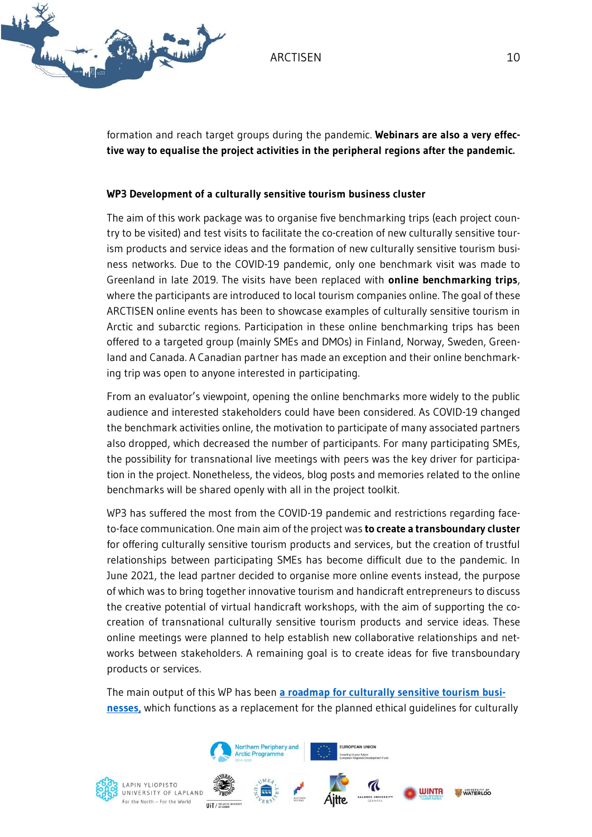



formation and reach target groups during the pandemic. **Webinars are also a very effective way to equalise the project activities in the peripheral regions after the pandemic.**

#### **WP3 Development of a culturally sensitive tourism business cluster**

The aim of this work package was to organise five benchmarking trips (each project country to be visited) and test visits to facilitate the co-creation of new culturally sensitive tourism products and service ideas and the formation of new culturally sensitive tourism business networks. Due to the COVID-19 pandemic, only one benchmark visit was made to Greenland in late 2019. The visits have been replaced with **online benchmarking trips**, where the participants are introduced to local tourism companies online. The goal of these ARCTISEN online events has been to showcase examples of culturally sensitive tourism in Arctic and subarctic regions. Participation in these online benchmarking trips has been offered to a targeted group (mainly SMEs and DMOs) in Finland, Norway, Sweden, Greenland and Canada. A Canadian partner has made an exception and their online benchmarking trip was open to anyone interested in participating.

From an evaluator's viewpoint, opening the online benchmarks more widely to the public audience and interested stakeholders could have been considered. As COVID-19 changed the benchmark activities online, the motivation to participate of many associated partners also dropped, which decreased the number of participants. For many participating SMEs, the possibility for transnational live meetings with peers was the key driver for participation in the project. Nonetheless, the videos, blog posts and memories related to the online benchmarks will be shared openly with all in the project toolkit.

WP3 has suffered the most from the COVID-19 pandemic and restrictions regarding faceto-face communication. One main aim of the project was **to create a transboundary cluster** for offering culturally sensitive tourism products and services, but the creation of trustful relationships between participating SMEs has become difficult due to the pandemic. In June 2021, the lead partner decided to organise more online events instead, the purpose of which was to bring together innovative tourism and handicraft entrepreneurs to discuss the creative potential of virtual handicraft workshops, with the aim of supporting the cocreation of transnational culturally sensitive tourism products and service ideas. These online meetings were planned to help establish new collaborative relationships and networks between stakeholders. A remaining goal is to create ideas for five transboundary products or services.

The main output of this WP has been **[a roadmap for culturally sensitive tourism busi](https://blogi.eoppimispalvelut.fi/learnculturaltourism/files/2020/02/Paths_high-reso_final.pdf)[nesse](https://blogi.eoppimispalvelut.fi/learnculturaltourism/files/2020/02/Paths_high-reso_final.pdf)s,** which functions as a replacement for the planned ethical guidelines for culturally



LAPIN YLIOPISTO UNIVERSITY OF LAPLAND For the North - For the World



Northern Periphery and **Arctic Programme** 



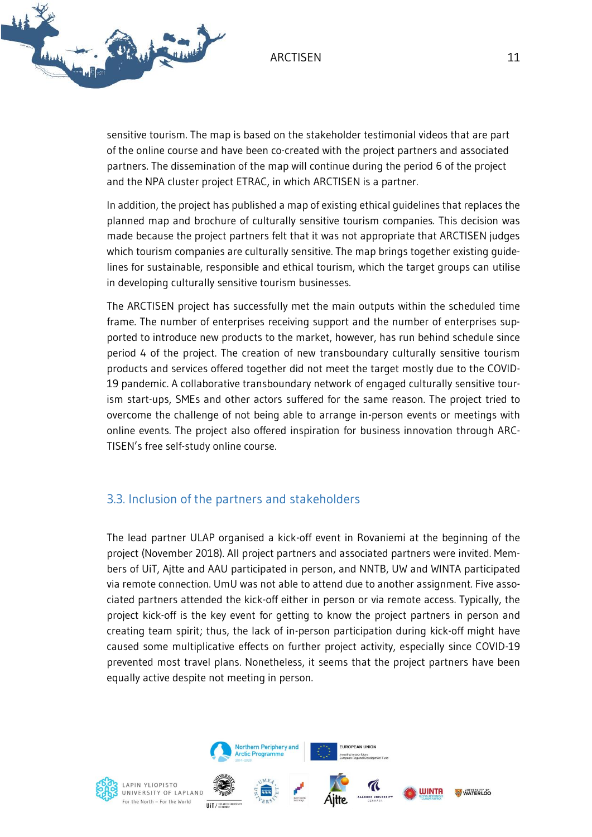

sensitive tourism. The map is based on the stakeholder testimonial videos that are part of the online course and have been co-created with the project partners and associated partners. The dissemination of the map will continue during the period 6 of the project and the NPA cluster project ETRAC, in which ARCTISEN is a partner.

In addition, the project has published a map of existing ethical guidelines that replaces the planned map and brochure of culturally sensitive tourism companies. This decision was made because the project partners felt that it was not appropriate that ARCTISEN judges which tourism companies are culturally sensitive. The map brings together existing guidelines for sustainable, responsible and ethical tourism, which the target groups can utilise in developing culturally sensitive tourism businesses.

The ARCTISEN project has successfully met the main outputs within the scheduled time frame. The number of enterprises receiving support and the number of enterprises supported to introduce new products to the market, however, has run behind schedule since period 4 of the project. The creation of new transboundary culturally sensitive tourism products and services offered together did not meet the target mostly due to the COVID-19 pandemic. A collaborative transboundary network of engaged culturally sensitive tourism start-ups, SMEs and other actors suffered for the same reason. The project tried to overcome the challenge of not being able to arrange in-person events or meetings with online events. The project also offered inspiration for business innovation through ARC-TISEN's free self-study online course.

#### <span id="page-11-0"></span>3.3. Inclusion of the partners and stakeholders

The lead partner ULAP organised a kick-off event in Rovaniemi at the beginning of the project (November 2018). All project partners and associated partners were invited. Members of UiT, Ajtte and AAU participated in person, and NNTB, UW and WINTA participated via remote connection. UmU was not able to attend due to another assignment. Five associated partners attended the kick-off either in person or via remote access. Typically, the project kick-off is the key event for getting to know the project partners in person and creating team spirit; thus, the lack of in-person participation during kick-off might have caused some multiplicative effects on further project activity, especially since COVID-19 prevented most travel plans. Nonetheless, it seems that the project partners have been equally active despite not meeting in person.

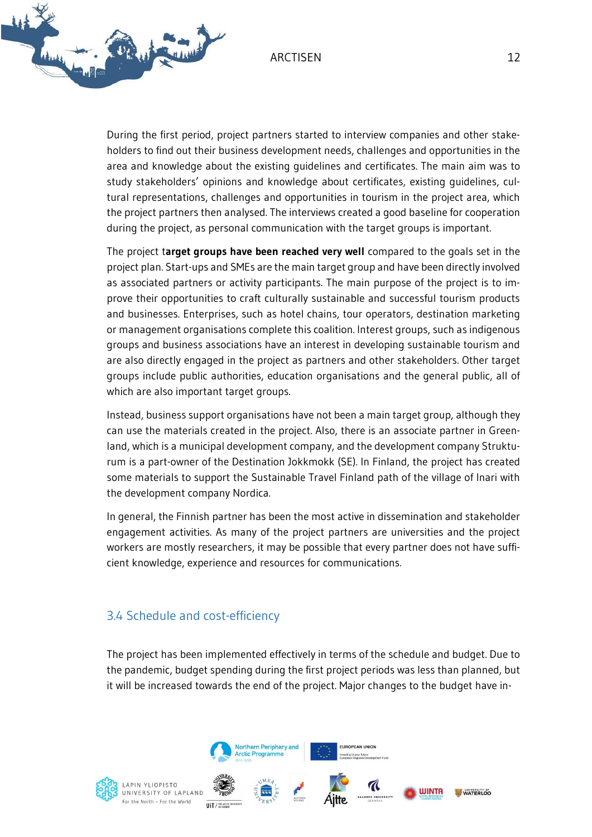

During the first period, project partners started to interview companies and other stakeholders to find out their business development needs, challenges and opportunities in the area and knowledge about the existing guidelines and certificates. The main aim was to study stakeholders' opinions and knowledge about certificates, existing guidelines, cultural representations, challenges and opportunities in tourism in the project area, which the project partners then analysed. The interviews created a good baseline for cooperation during the project, as personal communication with the target groups is important.

The project t**arget groups have been reached very well** compared to the goals set in the project plan. Start-ups and SMEs are the main target group and have been directly involved as associated partners or activity participants. The main purpose of the project is to improve their opportunities to craft culturally sustainable and successful tourism products and businesses. Enterprises, such as hotel chains, tour operators, destination marketing or management organisations complete this coalition. Interest groups, such as indigenous groups and business associations have an interest in developing sustainable tourism and are also directly engaged in the project as partners and other stakeholders. Other target groups include public authorities, education organisations and the general public, all of which are also important target groups.

Instead, business support organisations have not been a main target group, although they can use the materials created in the project. Also, there is an associate partner in Greenland, which is a municipal development company, and the development company Strukturum is a part-owner of the Destination Jokkmokk (SE). In Finland, the project has created some materials to support the Sustainable Travel Finland path of the village of Inari with the development company Nordica.

In general, the Finnish partner has been the most active in dissemination and stakeholder engagement activities. As many of the project partners are universities and the project workers are mostly researchers, it may be possible that every partner does not have sufficient knowledge, experience and resources for communications.

### <span id="page-12-0"></span>3.4 Schedule and cost-efficiency

The project has been implemented effectively in terms of the schedule and budget. Due to the pandemic, budget spending during the first project periods was less than planned, but it will be increased towards the end of the project. Major changes to the budget have in-



LAPIN YLIOPISTO UNIVERSITY OF LAPLAND For the North - For the World **ILIT / WEARCH** 



Northern Periphery and **Arctic Programme** 



 $\mathcal{\mathcal{C}}$ **WINTA** 

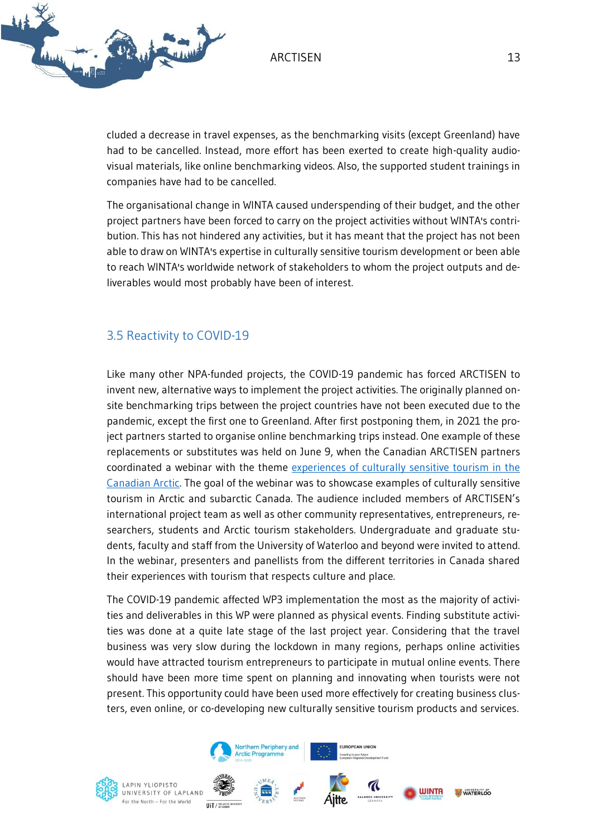

cluded a decrease in travel expenses, as the benchmarking visits (except Greenland) have had to be cancelled. Instead, more effort has been exerted to create high-quality audiovisual materials, like online benchmarking videos. Also, the supported student trainings in companies have had to be cancelled.

The organisational change in WINTA caused underspending of their budget, and the other project partners have been forced to carry on the project activities without WINTA's contribution. This has not hindered any activities, but it has meant that the project has not been able to draw on WINTA's expertise in culturally sensitive tourism development or been able to reach WINTA's worldwide network of stakeholders to whom the project outputs and deliverables would most probably have been of interest.

## <span id="page-13-0"></span>3.5 Reactivity to COVID-19

Like many other NPA-funded projects, the COVID-19 pandemic has forced ARCTISEN to invent new, alternative ways to implement the project activities. The originally planned onsite benchmarking trips between the project countries have not been executed due to the pandemic, except the first one to Greenland. After first postponing them, in 2021 the project partners started to organise online benchmarking trips instead. One example of these replacements or substitutes was held on June 9, when the Canadian ARCTISEN partners coordinated a webinar with the theme [experiences of culturally sensitive tourism in the](https://uwaterloo.ca/recreation-and-leisure-studies/events/canadian-arctisen-webinar-experiences-culturally-sensitive)  [Canadian Arctic.](https://uwaterloo.ca/recreation-and-leisure-studies/events/canadian-arctisen-webinar-experiences-culturally-sensitive) The goal of the webinar was to showcase examples of culturally sensitive tourism in Arctic and subarctic Canada. The audience included members of ARCTISEN's international project team as well as other community representatives, entrepreneurs, researchers, students and Arctic tourism stakeholders. Undergraduate and graduate students, faculty and staff from the University of Waterloo and beyond were invited to attend. In the webinar, presenters and panellists from the different territories in Canada shared their experiences with tourism that respects culture and place.

The COVID-19 pandemic affected WP3 implementation the most as the majority of activities and deliverables in this WP were planned as physical events. Finding substitute activities was done at a quite late stage of the last project year. Considering that the travel business was very slow during the lockdown in many regions, perhaps online activities would have attracted tourism entrepreneurs to participate in mutual online events. There should have been more time spent on planning and innovating when tourists were not present. This opportunity could have been used more effectively for creating business clusters, even online, or co-developing new culturally sensitive tourism products and services.



LAPIN YLIOPISTO UNIVERSITY OF LAPLAND For the North - For the World



Northern Periphery and **rctic Programme** 



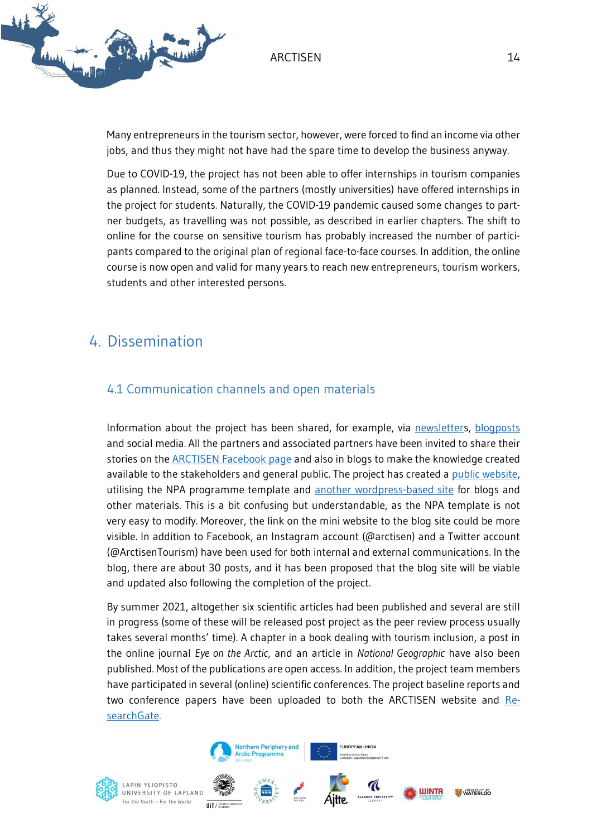

Many entrepreneurs in the tourism sector, however, were forced to find an income via other jobs, and thus they might not have had the spare time to develop the business anyway.

Due to COVID-19, the project has not been able to offer internships in tourism companies as planned. Instead, some of the partners (mostly universities) have offered internships in the project for students. Naturally, the COVID-19 pandemic caused some changes to partner budgets, as travelling was not possible, as described in earlier chapters. The shift to online for the course on sensitive tourism has probably increased the number of participants compared to the original plan of regional face-to-face courses. In addition, the online course is now open and valid for many years to reach new entrepreneurs, tourism workers, students and other interested persons.

## <span id="page-14-0"></span>4. Dissemination

### <span id="page-14-1"></span>4.1 Communication channels and open materials

Information about the project has been shared, for example, via [newsletters](https://blogi.eoppimispalvelut.fi/arctisen/arctisen-newsletters/), [blogposts](https://blogi.eoppimispalvelut.fi/arctisen/2019/02/26/welcome-to-arctisen-blog/) and social media. All the partners and associated partners have been invited to share their stories on the **ARCTISEN Facebook page and also in blogs to make the knowledge created** available to the stakeholders and general public. The project has created a [public website,](https://sensitivetourism.interreg-npa.eu/) utilising the NPA programme template and [another wordpress-based site](https://blogi.eoppimispalvelut.fi/arctisen/2019/02/26/welcome-to-arctisen-blog/) for blogs and other materials. This is a bit confusing but understandable, as the NPA template is not very easy to modify. Moreover, the link on the mini website to the blog site could be more visible. In addition to Facebook, an Instagram account (@arctisen) and a Twitter account (@ArctisenTourism) have been used for both internal and external communications. In the blog, there are about 30 posts, and it has been proposed that the blog site will be viable and updated also following the completion of the project.

By summer 2021, altogether six scientific articles had been published and several are still in progress (some of these will be released post project as the peer review process usually takes several months' time). A chapter in a book dealing with tourism inclusion, a post in the online journal *Eye on the Arctic*, and an article in *National Geographic* have also been published. Most of the publications are open access. In addition, the project team members have participated in several (online) scientific conferences. The project baseline reports and two conference papers have been uploaded to both the ARCTISEN website and [Re](https://www.researchgate.net/project/ARCTISEN-Culturally-Sensitive-Tourism-in-the-Arctic-2018-2021)[searchGate.](https://www.researchgate.net/project/ARCTISEN-Culturally-Sensitive-Tourism-in-the-Arctic-2018-2021)

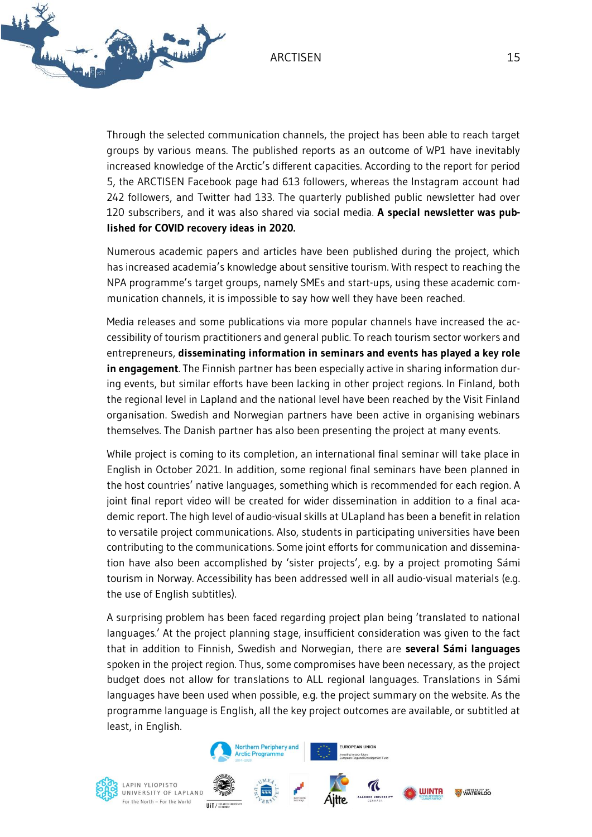

Through the selected communication channels, the project has been able to reach target groups by various means. The published reports as an outcome of WP1 have inevitably increased knowledge of the Arctic's different capacities. According to the report for period 5, the ARCTISEN Facebook page had 613 followers, whereas the Instagram account had 242 followers, and Twitter had 133. The quarterly published public newsletter had over 120 subscribers, and it was also shared via social media. **A special newsletter was published for COVID recovery ideas in 2020.**

Numerous academic papers and articles have been published during the project, which has increased academia's knowledge about sensitive tourism. With respect to reaching the NPA programme's target groups, namely SMEs and start-ups, using these academic communication channels, it is impossible to say how well they have been reached.

Media releases and some publications via more popular channels have increased the accessibility of tourism practitioners and general public. To reach tourism sector workers and entrepreneurs, **disseminating information in seminars and events has played a key role in engagement**. The Finnish partner has been especially active in sharing information during events, but similar efforts have been lacking in other project regions. In Finland, both the regional level in Lapland and the national level have been reached by the Visit Finland organisation. Swedish and Norwegian partners have been active in organising webinars themselves. The Danish partner has also been presenting the project at many events.

While project is coming to its completion, an international final seminar will take place in English in October 2021. In addition, some regional final seminars have been planned in the host countries' native languages, something which is recommended for each region. A joint final report video will be created for wider dissemination in addition to a final academic report. The high level of audio-visual skills at ULapland has been a benefit in relation to versatile project communications. Also, students in participating universities have been contributing to the communications. Some joint efforts for communication and dissemination have also been accomplished by 'sister projects', e.g. by a project promoting Sámi tourism in Norway. Accessibility has been addressed well in all audio-visual materials (e.g. the use of English subtitles).

A surprising problem has been faced regarding project plan being 'translated to national languages.' At the project planning stage, insufficient consideration was given to the fact that in addition to Finnish, Swedish and Norwegian, there are **several Sámi languages** spoken in the project region. Thus, some compromises have been necessary, as the project budget does not allow for translations to ALL regional languages. Translations in Sámi languages have been used when possible, e.g. the project summary on the website. As the programme language is English, all the key project outcomes are available, or subtitled at least, in English.



LAPIN YLIOPISTO UNIVERSITY OF LAPLAND For the North - For the World **ILIT / WEARCH** 



Northern Periphery and **Arctic Programme** 



 $\mathcal{\mathcal{C}}$ 



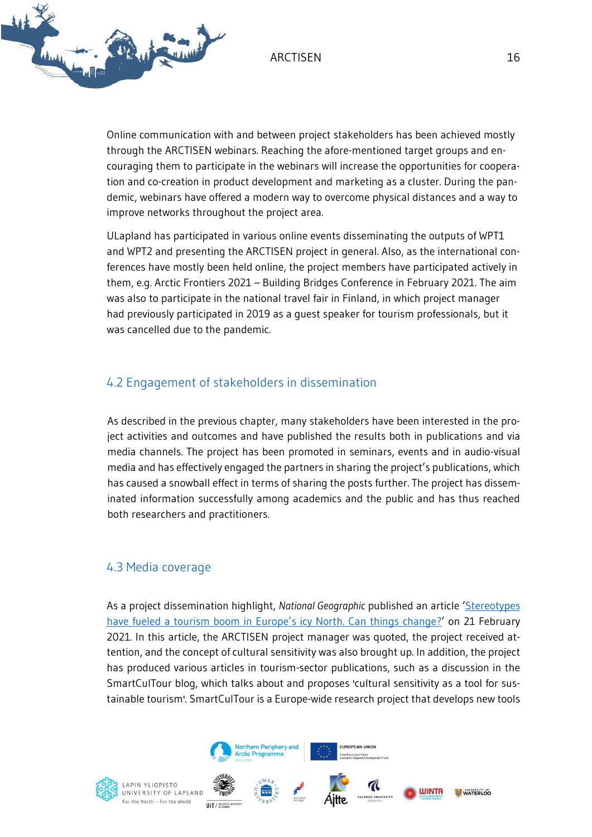

Online communication with and between project stakeholders has been achieved mostly through the ARCTISEN webinars. Reaching the afore-mentioned target groups and encouraging them to participate in the webinars will increase the opportunities for cooperation and co-creation in product development and marketing as a cluster. During the pandemic, webinars have offered a modern way to overcome physical distances and a way to improve networks throughout the project area.

ULapland has participated in various online events disseminating the outputs of WPT1 and WPT2 and presenting the ARCTISEN project in general. Also, as the international conferences have mostly been held online, the project members have participated actively in them, e.g. Arctic Frontiers 2021 – Building Bridges Conference in February 2021. The aim was also to participate in the national travel fair in Finland, in which project manager had previously participated in 2019 as a guest speaker for tourism professionals, but it was cancelled due to the pandemic.

## <span id="page-16-0"></span>4.2 Engagement of stakeholders in dissemination

As described in the previous chapter, many stakeholders have been interested in the project activities and outcomes and have published the results both in publications and via media channels. The project has been promoted in seminars, events and in audio-visual media and has effectively engaged the partners in sharing the project's publications, which has caused a snowball effect in terms of sharing the posts further. The project has disseminated information successfully among academics and the public and has thus reached both researchers and practitioners.

#### <span id="page-16-1"></span>4.3 Media coverage

As a project dissemination highlight, *National Geographic* published an article '[Stereotypes](https://www.nationalgeographic.com/travel/article/changing-indigneous-cultural-tourism-in-arctic-sapmi-region)  [have fueled a tourism boom in Europe's icy North. Can things change](https://www.nationalgeographic.com/travel/article/changing-indigneous-cultural-tourism-in-arctic-sapmi-region)?' on 21 February 2021. In this article, the ARCTISEN project manager was quoted, the project received attention, and the concept of cultural sensitivity was also brought up. In addition, the project has produced various articles in tourism-sector publications, such as a discussion in the SmartCulTour blog, which talks about and proposes 'cultural sensitivity as a tool for sustainable tourism'. SmartCulTour is a Europe-wide research project that develops new tools



LAPIN YLIOPISTO UNIVERSITY OF LAPLAND For the North - For the World **ILIT / WEARCH** 



Northern Periphery and **rctic Programme** 



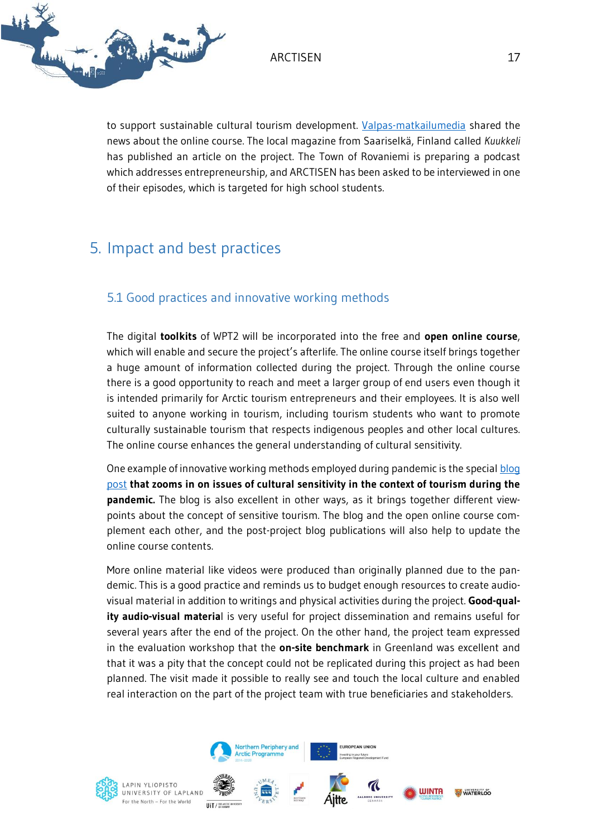

to support sustainable cultural tourism development. [Valpas-matkailumedia](file://///luna/projektit/painoalat/Työelämä%20ja%20yrittäjyys/2018%20W-POWER%207043/2%20Projektin%20toiminta/WP%20M%20(Management)/Semi-external%20evaluation%202021/(https:/l.facebook.com/l.php) shared the news about the online course. The local magazine from Saariselkä, Finland called *Kuukkeli* has published an article on the project. The Town of Rovaniemi is preparing a podcast which addresses entrepreneurship, and ARCTISEN has been asked to be interviewed in one of their episodes, which is targeted for high school students.

## <span id="page-17-0"></span>5. Impact and best practices

## <span id="page-17-1"></span>5.1 Good practices and innovative working methods

The digital **toolkits** of WPT2 will be incorporated into the free and **open online course**, which will enable and secure the project's afterlife. The online course itself brings together a huge amount of information collected during the project. Through the online course there is a good opportunity to reach and meet a larger group of end users even though it is intended primarily for Arctic tourism entrepreneurs and their employees. It is also well suited to anyone working in tourism, including tourism students who want to promote culturally sustainable tourism that respects indigenous peoples and other local cultures. The online course enhances the general understanding of cultural sensitivity.

One example of innovative working methods employed during pandemic is the special blog [post](https://blogi.eoppimispalvelut.fi/arctisen/2021/03/05/reinventing-stories-in-arctic-tourism-destinations-cultural-sensitivity-in-times-of-the-pandemic/) **that zooms in on issues of cultural sensitivity in the context of tourism during the pandemic.** The blog is also excellent in other ways, as it brings together different viewpoints about the concept of sensitive tourism. The blog and the open online course complement each other, and the post-project blog publications will also help to update the online course contents.

More online material like videos were produced than originally planned due to the pandemic. This is a good practice and reminds us to budget enough resources to create audiovisual material in addition to writings and physical activities during the project. **Good-quality audio-visual materia**l is very useful for project dissemination and remains useful for several years after the end of the project. On the other hand, the project team expressed in the evaluation workshop that the **on-site benchmark** in Greenland was excellent and that it was a pity that the concept could not be replicated during this project as had been planned. The visit made it possible to really see and touch the local culture and enabled real interaction on the part of the project team with true beneficiaries and stakeholders.

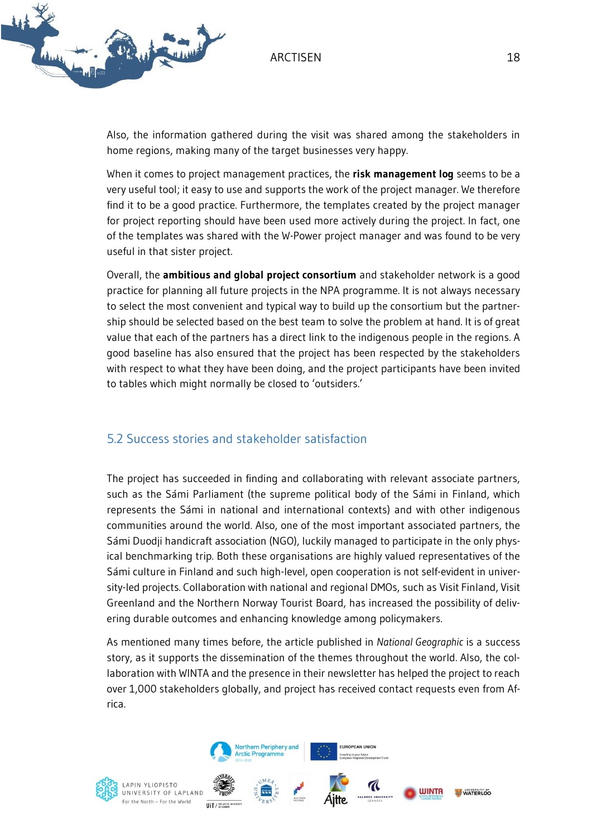



Also, the information gathered during the visit was shared among the stakeholders in home regions, making many of the target businesses very happy.

When it comes to project management practices, the **risk management log** seems to be a very useful tool; it easy to use and supports the work of the project manager. We therefore find it to be a good practice. Furthermore, the templates created by the project manager for project reporting should have been used more actively during the project. In fact, one of the templates was shared with the W-Power project manager and was found to be very useful in that sister project.

Overall, the **ambitious and global project consortium** and stakeholder network is a good practice for planning all future projects in the NPA programme. It is not always necessary to select the most convenient and typical way to build up the consortium but the partnership should be selected based on the best team to solve the problem at hand. It is of great value that each of the partners has a direct link to the indigenous people in the regions. A good baseline has also ensured that the project has been respected by the stakeholders with respect to what they have been doing, and the project participants have been invited to tables which might normally be closed to 'outsiders.'

### <span id="page-18-0"></span>5.2 Success stories and stakeholder satisfaction

The project has succeeded in finding and collaborating with relevant associate partners, such as the Sámi Parliament (the supreme political body of the Sámi in Finland, which represents the Sámi in national and international contexts) and with other indigenous communities around the world. Also, one of the most important associated partners, the Sámi Duodji handicraft association (NGO), luckily managed to participate in the only physical benchmarking trip. Both these organisations are highly valued representatives of the Sámi culture in Finland and such high-level, open cooperation is not self-evident in university-led projects. Collaboration with national and regional DMOs, such as Visit Finland, Visit Greenland and the Northern Norway Tourist Board, has increased the possibility of delivering durable outcomes and enhancing knowledge among policymakers.

As mentioned many times before, the article published in *National Geographic* is a success story, as it supports the dissemination of the themes throughout the world. Also, the collaboration with WINTA and the presence in their newsletter has helped the project to reach over 1,000 stakeholders globally, and project has received contact requests even from Africa.

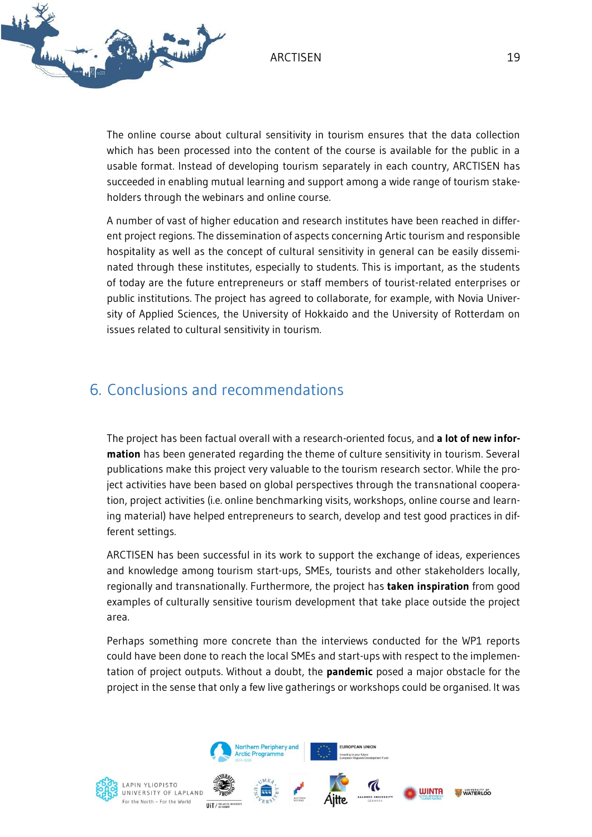

The online course about cultural sensitivity in tourism ensures that the data collection which has been processed into the content of the course is available for the public in a usable format. Instead of developing tourism separately in each country, ARCTISEN has succeeded in enabling mutual learning and support among a wide range of tourism stakeholders through the webinars and online course.

A number of vast of higher education and research institutes have been reached in different project regions. The dissemination of aspects concerning Artic tourism and responsible hospitality as well as the concept of cultural sensitivity in general can be easily disseminated through these institutes, especially to students. This is important, as the students of today are the future entrepreneurs or staff members of tourist-related enterprises or public institutions. The project has agreed to collaborate, for example, with Novia University of Applied Sciences, the University of Hokkaido and the University of Rotterdam on issues related to cultural sensitivity in tourism.

## <span id="page-19-0"></span>6. Conclusions and recommendations

The project has been factual overall with a research-oriented focus, and **a lot of new information** has been generated regarding the theme of culture sensitivity in tourism. Several publications make this project very valuable to the tourism research sector. While the project activities have been based on global perspectives through the transnational cooperation, project activities (i.e. online benchmarking visits, workshops, online course and learning material) have helped entrepreneurs to search, develop and test good practices in different settings.

ARCTISEN has been successful in its work to support the exchange of ideas, experiences and knowledge among tourism start-ups, SMEs, tourists and other stakeholders locally, regionally and transnationally. Furthermore, the project has **taken inspiration** from good examples of culturally sensitive tourism development that take place outside the project area.

Perhaps something more concrete than the interviews conducted for the WP1 reports could have been done to reach the local SMEs and start-ups with respect to the implementation of project outputs. Without a doubt, the **pandemic** posed a major obstacle for the project in the sense that only a few live gatherings or workshops could be organised. It was



LAPIN YLIOPISTO UNIVERSITY OF LAPLAND For the North - For the World **ILIT / WEARCH** 



Northern Periphery and **Arctic Programme**